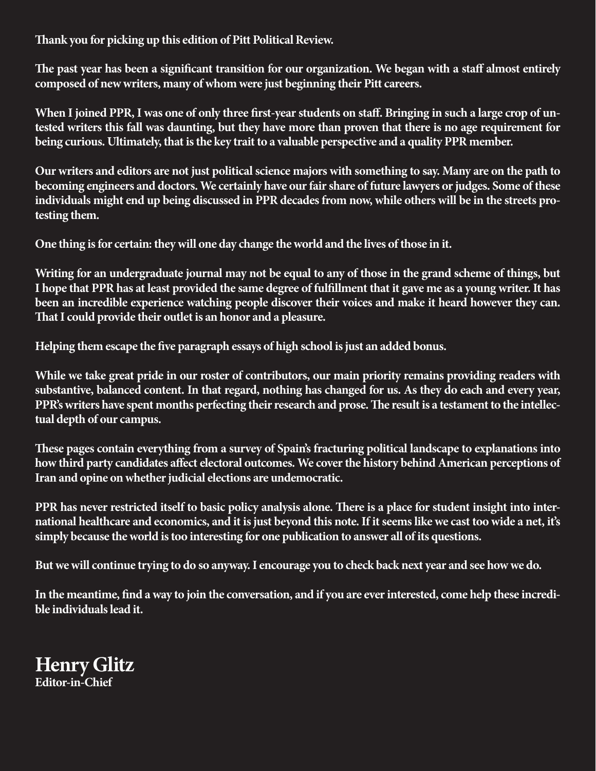**Thank you for picking up this edition of Pitt Political Review.**

**The past year has been a significant transition for our organization. We began with a staff almost entirely composed of new writers, many of whom were just beginning their Pitt careers.**

**When I joined PPR, I was one of only three first-year students on staff. Bringing in such a large crop of untested writers this fall was daunting, but they have more than proven that there is no age requirement for being curious. Ultimately, that is the key trait to a valuable perspective and a quality PPR member.**

**Our writers and editors are not just political science majors with something to say. Many are on the path to becoming engineers and doctors. We certainly have our fair share of future lawyers or judges. Some of these individuals might end up being discussed in PPR decades from now, while others will be in the streets protesting them.** 

**One thing is for certain: they will one day change the world and the lives of those in it.** 

**Writing for an undergraduate journal may not be equal to any of those in the grand scheme of things, but I hope that PPR has at least provided the same degree of fulfillment that it gave me as a young writer. It has been an incredible experience watching people discover their voices and make it heard however they can. That I could provide their outlet is an honor and a pleasure.**

**Helping them escape the five paragraph essays of high school is just an added bonus.**

**While we take great pride in our roster of contributors, our main priority remains providing readers with substantive, balanced content. In that regard, nothing has changed for us. As they do each and every year, PPR's writers have spent months perfecting their research and prose. The result is a testament to the intellectual depth of our campus.**

**These pages contain everything from a survey of Spain's fracturing political landscape to explanations into how third party candidates affect electoral outcomes. We cover the history behind American perceptions of Iran and opine on whether judicial elections are undemocratic.** 

**PPR has never restricted itself to basic policy analysis alone. There is a place for student insight into international healthcare and economics, and it is just beyond this note. If it seems like we cast too wide a net, it's simply because the world is too interesting for one publication to answer all of its questions.** 

**But we will continue trying to do so anyway. I encourage you to check back next year and see how we do.** 

**In the meantime, find a way to join the conversation, and if you are ever interested, come help these incredible individuals lead it.** 

**Henry Glitz Editor-in-Chief**